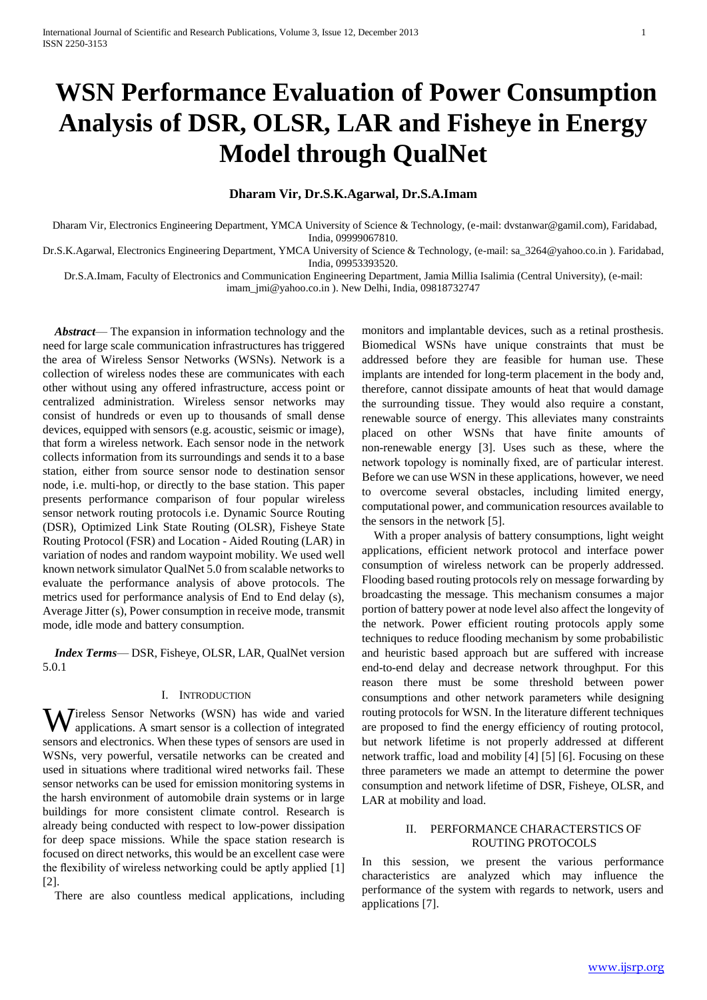# **WSN Performance Evaluation of Power Consumption Analysis of DSR, OLSR, LAR and Fisheye in Energy Model through QualNet**

## **Dharam Vir, Dr.S.K.Agarwal, Dr.S.A.Imam**

Dharam Vir, Electronics Engineering Department, YMCA University of Science & Technology, (e-mail: dvstanwar@gamil.com), Faridabad, India, 09999067810.

Dr.S.K.Agarwal, Electronics Engineering Department, YMCA University of Science & Technology, (e-mail: sa\_3264@yahoo.co.in ). Faridabad, India, 09953393520.

Dr.S.A.Imam, Faculty of Electronics and Communication Engineering Department, Jamia Millia Isalimia (Central University), (e-mail:

imam\_jmi@yahoo.co.in ). New Delhi, India, 09818732747

*Abstract*— The expansion in information technology and the need for large scale communication infrastructures has triggered the area of Wireless Sensor Networks (WSNs). Network is a collection of wireless nodes these are communicates with each other without using any offered infrastructure, access point or centralized administration. Wireless sensor networks may consist of hundreds or even up to thousands of small dense devices, equipped with sensors (e.g. acoustic, seismic or image), that form a wireless network. Each sensor node in the network collects information from its surroundings and sends it to a base station, either from source sensor node to destination sensor node, i.e. multi-hop, or directly to the base station. This paper presents performance comparison of four popular wireless sensor network routing protocols i.e. Dynamic Source Routing (DSR), Optimized Link State Routing (OLSR), Fisheye State Routing Protocol (FSR) and Location - Aided Routing (LAR) in variation of nodes and random waypoint mobility. We used well known network simulator QualNet 5.0 from scalable networks to evaluate the performance analysis of above protocols. The metrics used for performance analysis of End to End delay (s), Average Jitter (s), Power consumption in receive mode, transmit mode, idle mode and battery consumption.

*Index Terms*— DSR, Fisheye, OLSR, LAR, QualNet version 5.0.1

## I. INTRODUCTION

**W** ireless Sensor Networks (WSN) has wide and varied applications. A smart sensor is a collection of integrated applications. A smart sensor is a collection of integrated sensors and electronics. When these types of sensors are used in WSNs, very powerful, versatile networks can be created and used in situations where traditional wired networks fail. These sensor networks can be used for emission monitoring systems in the harsh environment of automobile drain systems or in large buildings for more consistent climate control. Research is already being conducted with respect to low-power dissipation for deep space missions. While the space station research is focused on direct networks, this would be an excellent case were the flexibility of wireless networking could be aptly applied [1] [2].

There are also countless medical applications, including

monitors and implantable devices, such as a retinal prosthesis. Biomedical WSNs have unique constraints that must be addressed before they are feasible for human use. These implants are intended for long-term placement in the body and, therefore, cannot dissipate amounts of heat that would damage the surrounding tissue. They would also require a constant, renewable source of energy. This alleviates many constraints placed on other WSNs that have finite amounts of non-renewable energy [3]. Uses such as these, where the network topology is nominally fixed, are of particular interest. Before we can use WSN in these applications, however, we need to overcome several obstacles, including limited energy, computational power, and communication resources available to the sensors in the network [5].

With a proper analysis of battery consumptions, light weight applications, efficient network protocol and interface power consumption of wireless network can be properly addressed. Flooding based routing protocols rely on message forwarding by broadcasting the message. This mechanism consumes a major portion of battery power at node level also affect the longevity of the network. Power efficient routing protocols apply some techniques to reduce flooding mechanism by some probabilistic and heuristic based approach but are suffered with increase end-to-end delay and decrease network throughput. For this reason there must be some threshold between power consumptions and other network parameters while designing routing protocols for WSN. In the literature different techniques are proposed to find the energy efficiency of routing protocol, but network lifetime is not properly addressed at different network traffic, load and mobility [4] [5] [6]. Focusing on these three parameters we made an attempt to determine the power consumption and network lifetime of DSR, Fisheye, OLSR, and LAR at mobility and load.

#### II. PERFORMANCE CHARACTERSTICS OF ROUTING PROTOCOLS

In this session, we present the various performance characteristics are analyzed which may influence the performance of the system with regards to network, users and applications [7].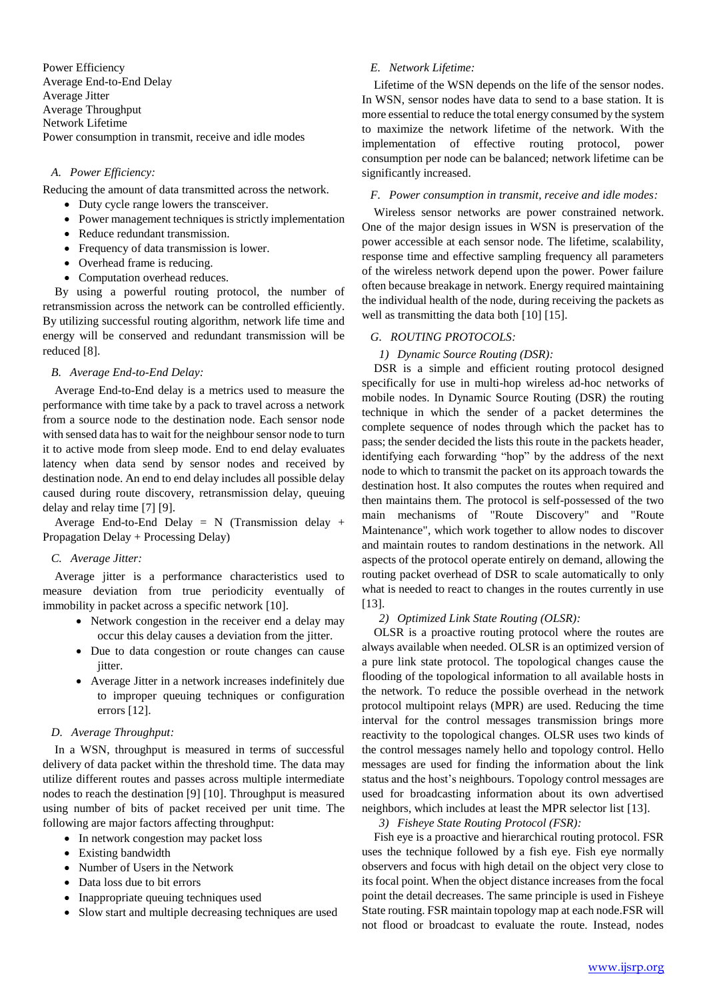Power Efficiency Average End-to-End Delay Average Jitter Average Throughput Network Lifetime Power consumption in transmit, receive and idle modes

## *A. Power Efficiency:*

Reducing the amount of data transmitted across the network.

- Duty cycle range lowers the transceiver.
- Power management techniques is strictly implementation
- Reduce redundant transmission.
- Frequency of data transmission is lower.
- Overhead frame is reducing.
- Computation overhead reduces.

By using a powerful routing protocol, the number of retransmission across the network can be controlled efficiently. By utilizing successful routing algorithm, network life time and energy will be conserved and redundant transmission will be reduced [8].

## *B. Average End-to-End Delay:*

Average End-to-End delay is a metrics used to measure the performance with time take by a pack to travel across a network from a source node to the destination node. Each sensor node with sensed data has to wait for the neighbour sensor node to turn it to active mode from sleep mode. End to end delay evaluates latency when data send by sensor nodes and received by destination node. An end to end delay includes all possible delay caused during route discovery, retransmission delay, queuing delay and relay time [7] [9].

Average End-to-End Delay =  $N$  (Transmission delay + Propagation Delay + Processing Delay)

#### *C. Average Jitter:*

Average jitter is a performance characteristics used to measure deviation from true periodicity eventually of immobility in packet across a specific network [10].

- Network congestion in the receiver end a delay may occur this delay causes a deviation from the jitter.
- Due to data congestion or route changes can cause jitter.
- Average Jitter in a network increases indefinitely due to improper queuing techniques or configuration errors [12].

## *D. Average Throughput:*

In a WSN, throughput is measured in terms of successful delivery of data packet within the threshold time. The data may utilize different routes and passes across multiple intermediate nodes to reach the destination [9] [10]. Throughput is measured using number of bits of packet received per unit time. The following are major factors affecting throughput:

- In network congestion may packet loss
- Existing bandwidth
- Number of Users in the Network
- Data loss due to bit errors
- Inappropriate queuing techniques used
- Slow start and multiple decreasing techniques are used

# *E. Network Lifetime:*

Lifetime of the WSN depends on the life of the sensor nodes. In WSN, sensor nodes have data to send to a base station. It is more essential to reduce the total energy consumed by the system to maximize the network lifetime of the network. With the implementation of effective routing protocol, power consumption per node can be balanced; network lifetime can be significantly increased.

## *F. Power consumption in transmit, receive and idle modes:*

Wireless sensor networks are power constrained network. One of the major design issues in WSN is preservation of the power accessible at each sensor node. The lifetime, scalability, response time and effective sampling frequency all parameters of the wireless network depend upon the power. Power failure often because breakage in network. Energy required maintaining the individual health of the node, during receiving the packets as well as transmitting the data both [10] [15].

## *G. ROUTING PROTOCOLS:*

*1) Dynamic Source Routing (DSR):*

DSR is a simple and efficient routing protocol designed specifically for use in multi-hop wireless ad-hoc networks of mobile nodes. In Dynamic Source Routing (DSR) the routing technique in which the sender of a packet determines the complete sequence of nodes through which the packet has to pass; the sender decided the lists this route in the packets header, identifying each forwarding "hop" by the address of the next node to which to transmit the packet on its approach towards the destination host. It also computes the routes when required and then maintains them. The protocol is self-possessed of the two main mechanisms of "Route Discovery" and "Route Maintenance", which work together to allow nodes to discover and maintain routes to random destinations in the network. All aspects of the protocol operate entirely on demand, allowing the routing packet overhead of DSR to scale automatically to only what is needed to react to changes in the routes currently in use [13].

#### *2) Optimized Link State Routing (OLSR):*

OLSR is a proactive routing protocol where the routes are always available when needed. OLSR is an optimized version of a pure link state protocol. The topological changes cause the flooding of the topological information to all available hosts in the network. To reduce the possible overhead in the network protocol multipoint relays (MPR) are used. Reducing the time interval for the control messages transmission brings more reactivity to the topological changes. OLSR uses two kinds of the control messages namely hello and topology control. Hello messages are used for finding the information about the link status and the host's neighbours. Topology control messages are used for broadcasting information about its own advertised neighbors, which includes at least the MPR selector list [13].

#### *3) Fisheye State Routing Protocol (FSR):*

Fish eye is a proactive and hierarchical routing protocol. FSR uses the technique followed by a fish eye. Fish eye normally observers and focus with high detail on the object very close to its focal point. When the object distance increases from the focal point the detail decreases. The same principle is used in Fisheye State routing. FSR maintain topology map at each node.FSR will not flood or broadcast to evaluate the route. Instead, nodes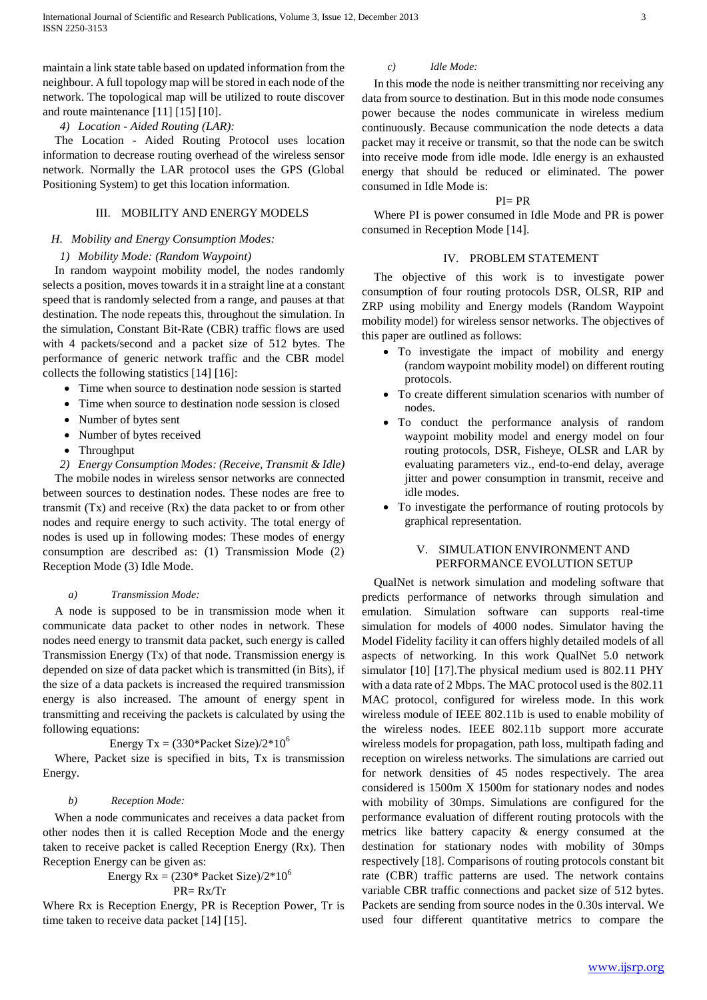maintain a link state table based on updated information from the neighbour. A full topology map will be stored in each node of the network. The topological map will be utilized to route discover and route maintenance [11] [15] [10].

#### *4) Location - Aided Routing (LAR):*

The Location - Aided Routing Protocol uses location information to decrease routing overhead of the wireless sensor network. Normally the LAR protocol uses the GPS (Global Positioning System) to get this location information.

## III. MOBILITY AND ENERGY MODELS

# *H. Mobility and Energy Consumption Modes:*

## *1) Mobility Mode: (Random Waypoint)*

In random waypoint mobility model, the nodes randomly selects a position, moves towards it in a straight line at a constant speed that is randomly selected from a range, and pauses at that destination. The node repeats this, throughout the simulation. In the simulation, Constant Bit-Rate (CBR) traffic flows are used with 4 packets/second and a packet size of 512 bytes. The performance of generic network traffic and the CBR model collects the following statistics [14] [16]:

- Time when source to destination node session is started
- Time when source to destination node session is closed
- Number of bytes sent
- Number of bytes received
- Throughput
- *2) Energy Consumption Modes: (Receive, Transmit & Idle)*

The mobile nodes in wireless sensor networks are connected between sources to destination nodes. These nodes are free to transmit (Tx) and receive (Rx) the data packet to or from other nodes and require energy to such activity. The total energy of nodes is used up in following modes: These modes of energy consumption are described as: (1) Transmission Mode (2) Reception Mode (3) Idle Mode.

## *a) Transmission Mode:*

A node is supposed to be in transmission mode when it communicate data packet to other nodes in network. These nodes need energy to transmit data packet, such energy is called Transmission Energy (Tx) of that node. Transmission energy is depended on size of data packet which is transmitted (in Bits), if the size of a data packets is increased the required transmission energy is also increased. The amount of energy spent in transmitting and receiving the packets is calculated by using the following equations:

## Energy Tx =  $(330*Packet Size)/2*10^6$

Where, Packet size is specified in bits, Tx is transmission Energy.

#### *b) Reception Mode:*

When a node communicates and receives a data packet from other nodes then it is called Reception Mode and the energy taken to receive packet is called Reception Energy (Rx). Then Reception Energy can be given as:

#### Energy Rx =  $(230^*$  Packet Size)/2 $*10^6$ PR= Rx/Tr

Where Rx is Reception Energy, PR is Reception Power, Tr is time taken to receive data packet [14] [15].

#### *c) Idle Mode:*

In this mode the node is neither transmitting nor receiving any data from source to destination. But in this mode node consumes power because the nodes communicate in wireless medium continuously. Because communication the node detects a data packet may it receive or transmit, so that the node can be switch into receive mode from idle mode. Idle energy is an exhausted energy that should be reduced or eliminated. The power consumed in Idle Mode is:

# $PI = PR$

Where PI is power consumed in Idle Mode and PR is power consumed in Reception Mode [14].

## IV. PROBLEM STATEMENT

The objective of this work is to investigate power consumption of four routing protocols DSR, OLSR, RIP and ZRP using mobility and Energy models (Random Waypoint mobility model) for wireless sensor networks. The objectives of this paper are outlined as follows:

- To investigate the impact of mobility and energy (random waypoint mobility model) on different routing protocols.
- To create different simulation scenarios with number of nodes.
- To conduct the performance analysis of random waypoint mobility model and energy model on four routing protocols, DSR, Fisheye, OLSR and LAR by evaluating parameters viz., end-to-end delay, average jitter and power consumption in transmit, receive and idle modes.
- To investigate the performance of routing protocols by graphical representation.

## V. SIMULATION ENVIRONMENT AND PERFORMANCE EVOLUTION SETUP

QualNet is network simulation and modeling software that predicts performance of networks through simulation and emulation. Simulation software can supports real-time simulation for models of 4000 nodes. Simulator having the Model Fidelity facility it can offers highly detailed models of all aspects of networking. In this work QualNet 5.0 network simulator [10] [17].The physical medium used is 802.11 PHY with a data rate of 2 Mbps. The MAC protocol used is the 802.11 MAC protocol, configured for wireless mode. In this work wireless module of IEEE 802.11b is used to enable mobility of the wireless nodes. IEEE 802.11b support more accurate wireless models for propagation, path loss, multipath fading and reception on wireless networks. The simulations are carried out for network densities of 45 nodes respectively. The area considered is 1500m X 1500m for stationary nodes and nodes with mobility of 30mps. Simulations are configured for the performance evaluation of different routing protocols with the metrics like battery capacity & energy consumed at the destination for stationary nodes with mobility of 30mps respectively [18]. Comparisons of routing protocols constant bit rate (CBR) traffic patterns are used. The network contains variable CBR traffic connections and packet size of 512 bytes. Packets are sending from source nodes in the 0.30s interval. We used four different quantitative metrics to compare the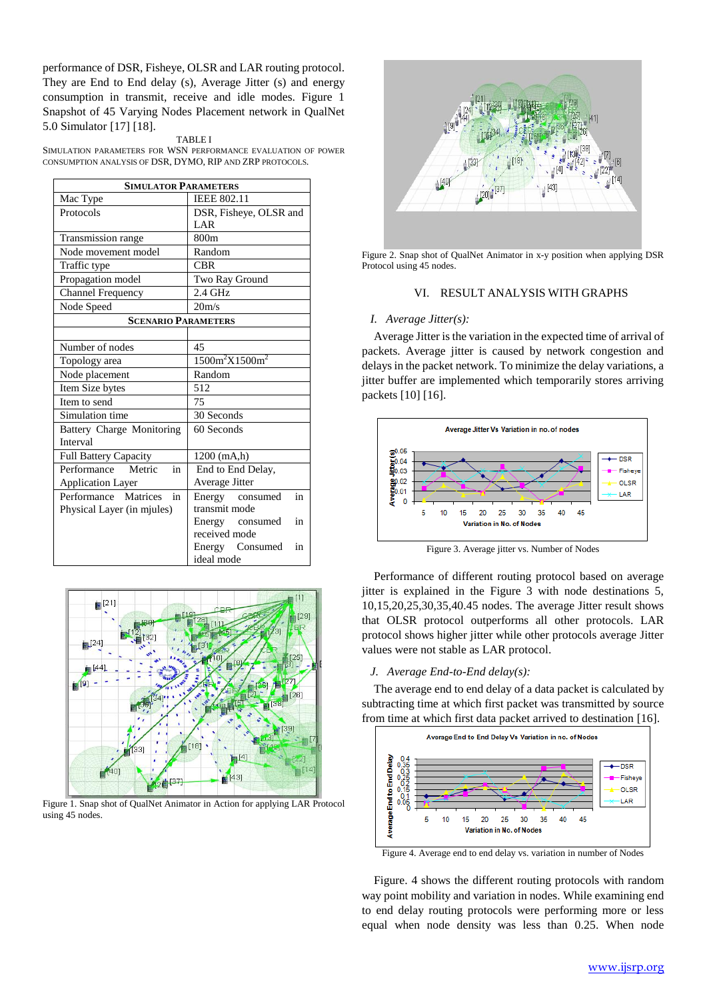performance of DSR, Fisheye, OLSR and LAR routing protocol. They are End to End delay (s), Average Jitter (s) and energy consumption in transmit, receive and idle modes. Figure 1 Snapshot of 45 Varying Nodes Placement network in QualNet 5.0 Simulator [17] [18].

#### TABLE I

SIMULATION PARAMETERS FOR WSN PERFORMANCE EVALUATION OF POWER CONSUMPTION ANALYSIS OF DSR, DYMO, RIP AND ZRP PROTOCOLS.

| <b>SIMULATOR PARAMETERS</b>      |                        |  |  |  |  |
|----------------------------------|------------------------|--|--|--|--|
| Mac Type                         | <b>IEEE 802.11</b>     |  |  |  |  |
| Protocols                        | DSR, Fisheye, OLSR and |  |  |  |  |
|                                  | LAR                    |  |  |  |  |
| Transmission range               | 800 <sub>m</sub>       |  |  |  |  |
| Node movement model              | Random                 |  |  |  |  |
| Traffic type                     | <b>CBR</b>             |  |  |  |  |
| Propagation model                | Two Ray Ground         |  |  |  |  |
| <b>Channel Frequency</b>         | $2.4$ GHz              |  |  |  |  |
| Node Speed                       | 20 <sub>m/s</sub>      |  |  |  |  |
| <b>SCENARIO PARAMETERS</b>       |                        |  |  |  |  |
|                                  |                        |  |  |  |  |
| Number of nodes                  | 45                     |  |  |  |  |
| Topology area                    | $1500m^2X1500m^2$      |  |  |  |  |
| Node placement                   | Random                 |  |  |  |  |
| Item Size bytes                  | 512                    |  |  |  |  |
| Item to send                     | 75                     |  |  |  |  |
| Simulation time                  | 30 Seconds             |  |  |  |  |
| <b>Battery Charge Monitoring</b> | 60 Seconds             |  |  |  |  |
| Interval                         |                        |  |  |  |  |
| Full Battery Capacity            | $1200$ (mA,h)          |  |  |  |  |
| Performance<br>in<br>Metric      | End to End Delay,      |  |  |  |  |
| <b>Application Layer</b>         | Average Jitter         |  |  |  |  |
| Performance Matrices<br>in       | in<br>Energy consumed  |  |  |  |  |
| Physical Layer (in miules)       | transmit mode          |  |  |  |  |
|                                  | Energy consumed<br>in  |  |  |  |  |
|                                  | received mode          |  |  |  |  |
|                                  | Energy Consumed<br>in  |  |  |  |  |
|                                  | ideal mode             |  |  |  |  |



Figure 1. Snap shot of QualNet Animator in Action for applying LAR Protocol using 45 nodes.



Figure 2. Snap shot of QualNet Animator in x-y position when applying DSR Protocol using 45 nodes.

## VI. RESULT ANALYSIS WITH GRAPHS

#### *I. Average Jitter(s):*

Average Jitter is the variation in the expected time of arrival of packets. Average jitter is caused by network congestion and delays in the packet network. To minimize the delay variations, a jitter buffer are implemented which temporarily stores arriving packets [10] [16].



Figure 3. Average jitter vs. Number of Nodes

Performance of different routing protocol based on average jitter is explained in the Figure 3 with node destinations 5, 10,15,20,25,30,35,40.45 nodes. The average Jitter result shows that OLSR protocol outperforms all other protocols. LAR protocol shows higher jitter while other protocols average Jitter values were not stable as LAR protocol.

#### *J. Average End-to-End delay(s):*

The average end to end delay of a data packet is calculated by subtracting time at which first packet was transmitted by source from time at which first data packet arrived to destination [16].



Figure 4. Average end to end delay vs. variation in number of Nodes

Figure. 4 shows the different routing protocols with random way point mobility and variation in nodes. While examining end to end delay routing protocols were performing more or less equal when node density was less than 0.25. When node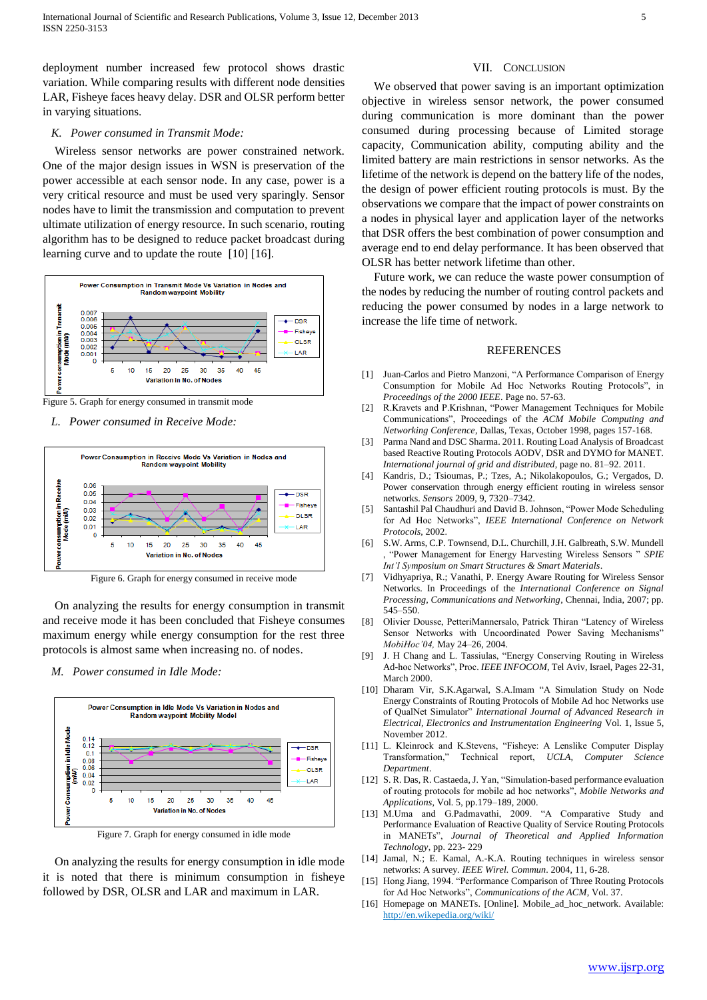deployment number increased few protocol shows drastic variation. While comparing results with different node densities LAR, Fisheye faces heavy delay. DSR and OLSR perform better in varying situations.

#### *K. Power consumed in Transmit Mode:*

Wireless sensor networks are power constrained network. One of the major design issues in WSN is preservation of the power accessible at each sensor node. In any case, power is a very critical resource and must be used very sparingly. Sensor nodes have to limit the transmission and computation to prevent ultimate utilization of energy resource. In such scenario, routing algorithm has to be designed to reduce packet broadcast during learning curve and to update the route [10] [16].



Figure 5. Graph for energy consumed in transmit mode

*L. Power consumed in Receive Mode:*



Figure 6. Graph for energy consumed in receive mode

On analyzing the results for energy consumption in transmit and receive mode it has been concluded that Fisheye consumes maximum energy while energy consumption for the rest three protocols is almost same when increasing no. of nodes.

*M. Power consumed in Idle Mode:*



Figure 7. Graph for energy consumed in idle mode

On analyzing the results for energy consumption in idle mode it is noted that there is minimum consumption in fisheye followed by DSR, OLSR and LAR and maximum in LAR.

#### VII. CONCLUSION

We observed that power saving is an important optimization objective in wireless sensor network, the power consumed during communication is more dominant than the power consumed during processing because of Limited storage capacity, Communication ability, computing ability and the limited battery are main restrictions in sensor networks. As the lifetime of the network is depend on the battery life of the nodes, the design of power efficient routing protocols is must. By the observations we compare that the impact of power constraints on a nodes in physical layer and application layer of the networks that DSR offers the best combination of power consumption and average end to end delay performance. It has been observed that OLSR has better network lifetime than other.

Future work, we can reduce the waste power consumption of the nodes by reducing the number of routing control packets and reducing the power consumed by nodes in a large network to increase the life time of network.

#### REFERENCES

- [1] Juan-Carlos and Pietro Manzoni, "A Performance Comparison of Energy Consumption for Mobile Ad Hoc Networks Routing Protocols", in *Proceedings of the 2000 IEEE*. Page no. 57-63.
- [2] R.Kravets and P.Krishnan, "Power Management Techniques for Mobile Communications", Proceedings of the *ACM Mobile Computing and Networking Conference*, Dallas, Texas, October 1998, pages 157-168.
- [3] Parma Nand and DSC Sharma. 2011. Routing Load Analysis of Broadcast based Reactive Routing Protocols AODV, DSR and DYMO for MANET. *International journal of grid and distributed*, page no. 81–92. 2011.
- Kandris, D.; Tsioumas, P.; Tzes, A.; Nikolakopoulos, G.; Vergados, D. Power conservation through energy efficient routing in wireless sensor networks. *Sensors* 2009, 9, 7320–7342.
- [5] Santashil Pal Chaudhuri and David B. Johnson, "Power Mode Scheduling for Ad Hoc Networks", *IEEE International Conference on Network Protocols*, 2002.
- [6] S.W. Arms, C.P. Townsend, D.L. Churchill, J.H. Galbreath, S.W. Mundell , "Power Management for Energy Harvesting Wireless Sensors " *SPIE Int'l Symposium on Smart Structures & Smart Materials*.
- [7] Vidhyapriya, R.; Vanathi, P. Energy Aware Routing for Wireless Sensor Networks. In Proceedings of the *International Conference on Signal Processing, Communications and Networking*, Chennai, India, 2007; pp. 545–550.
- [8] Olivier Dousse, PetteriMannersalo, Patrick Thiran "Latency of Wireless Sensor Networks with Uncoordinated Power Saving Mechanisms" *MobiHoc'04,* May 24–26, 2004.
- [9] J. H Chang and L. Tassiulas, "Energy Conserving Routing in Wireless Ad-hoc Networks", Proc. *IEEE INFOCOM*, Tel Aviv, Israel, Pages 22-31, March 2000.
- [10] Dharam Vir, S.K.Agarwal, S.A.Imam "A Simulation Study on Node Energy Constraints of Routing Protocols of Mobile Ad hoc Networks use of QualNet Simulator" *International Journal of Advanced Research in Electrical, Electronics and Instrumentation Engineering* Vol. 1, Issue 5, November 2012.
- [11] L. Kleinrock and K.Stevens, "Fisheye: A Lenslike Computer Display Transformation," Technical report, *UCLA, Computer Science Department*.
- [12] S. R. Das, R. Castaeda, J. Yan, "Simulation-based performance evaluation of routing protocols for mobile ad hoc networks", *Mobile Networks and Applications*, Vol. 5, pp.179–189, 2000.
- [13] M.Uma and G.Padmavathi, 2009. "A Comparative Study and Performance Evaluation of Reactive Quality of Service Routing Protocols in MANETs", *Journal of Theoretical and Applied Information Technology*, pp. 223- 229
- [14] Jamal, N.; E. Kamal, A.-K.A. Routing techniques in wireless sensor networks: A survey. *IEEE Wirel. Commun*. 2004, 11, 6-28.
- [15] Hong Jiang, 1994. "Performance Comparison of Three Routing Protocols for Ad Hoc Networks", *Communications of the ACM*, Vol. 37.
- [16] Homepage on MANETs. [Online]. Mobile\_ad\_hoc\_network. Available: http://en.wikepedia.org/wiki/